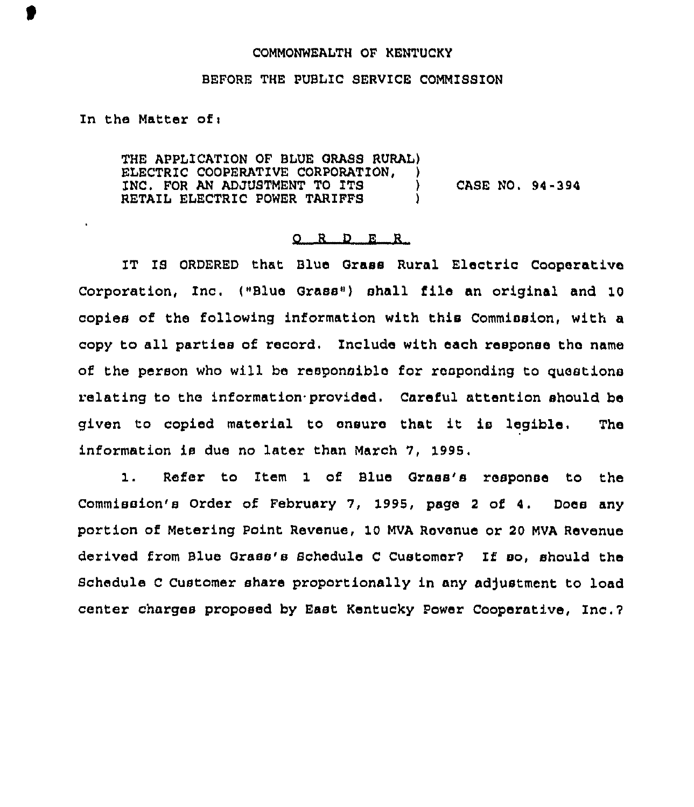## COMMONWEALTH OF KENTUCKY

## BEFORE THE PUBLIC SERVICE COMMISSION

In the Matter of:

 $\mathbf{r}$ 

THE APPLICATION OF BLUE GRASS RURAL) ELECTRIC COOPERATIVE CORPORATION, INC. FOR AN ADJUSTMENT TO ITS ) CASE NO. 94-394 RETAIL ELECTRIC POWER TARIFFS

## 0 R <sup>D</sup> E <sup>R</sup>

1T IS ORDERED that Blue Grass Rural Electric Cooperative Corporation, Inc. ("Blue Grass") shall file an original and 10 copies of the following information with this Commission, with a copy to all parties of record. Include with each response the name of the person who will be responsible for responding to questions relating to the information provided. Careful attention should be given to copied material to ensure that it is legible. The information is due no later than March 7, 1995.

Refer to item 1 of Blue Grass's response to the  $1.$ Commission's Order of February 7, 1995, page <sup>2</sup> of 4, Does any portion of Metering Point Revenue, 10 MVA Revenue or 20 MVA Revenue derived from Blue Grass's Schedule C Customer? If so, should the Schedule C Customer share proportionally in any adjustment to load center charges proposed by East Kentucky Power Cooperative, Inc.?